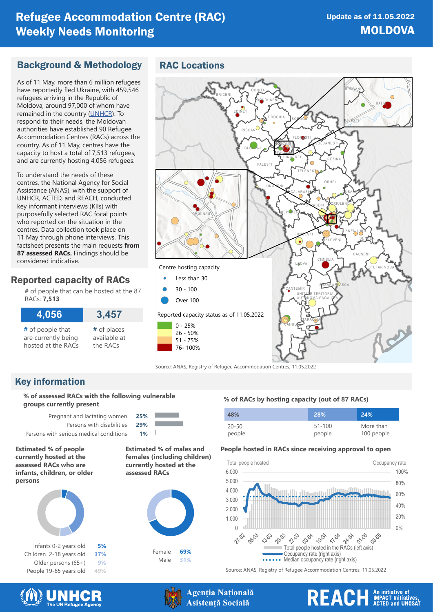# Refugee Accommodation Centre (RAC) Weekly Needs Monitoring

## Background & Methodology

As of 11 May, more than 6 million refugees have reportedly fled Ukraine, with 459,546 refugees arriving in the Republic of Moldova, around 97,000 of whom have remained in the country ([UNHCR](https://data2.unhcr.org/en/situations/ukraine)). To respond to their needs, the Moldovan authorities have established 90 Refugee Accommodation Centres (RACs) across the country. As of 11 May, centres have the capacity to host a total of 7,513 refugees, and are currently hosting 4,056 refugees.

To understand the needs of these centres, the National Agency for Social Assistance (ANAS), with the support of UNHCR, ACTED, and REACH, conducted key informant interviews (KIIs) with purposefully selected RAC focal points who reported on the situation in the centres. Data collection took place on 11 May through phone interviews. This factsheet presents the main requests **from 87 assessed RACs.** Findings should be considered indicative.

## Reported capacity of RACs

# of people that can be hosted at the 87 RACs: **7,513**

| 4,056               | 3,457        |
|---------------------|--------------|
| # of people that    | # of places  |
| are currently being | available at |
| hosted at the RACs  | the RACs     |

## RAC Locations



Source: ANAS, Registry of Refugee Accommodation Centres, 11.05.2022

# Key information

**% of assessed RACs with the following vulnerable groups currently present**

Pregnant and lactating women **25%** Persons with disabilities **29%** Persons with serious medical conditions **1%**

**Estimated % of people currently hosted at the assessed RACs who are infants, children, or older persons**



Infants 0-2 years old **5%** Children 2-18 years old **37%** Older persons (65+) **9%** People 19-65 years old **49%**

 $\overline{\phantom{a}}$ **Estimated % of males and** 

**females (including children) currently hosted at the assessed RACs**





## **% of RACs by hosting capacity (out of 87 RACs)**

| 48%       | 28%        | 24%        |
|-----------|------------|------------|
| $20 - 50$ | $51 - 100$ | More than  |
| people    | people     | 100 people |

## **People hosted in RACs since receiving approval to open**



Source: ANAS, Registry of Refugee Accommodation Centres, 11.05.2022





**Agenția Națională Asistență Socială**

# REACH An initiative of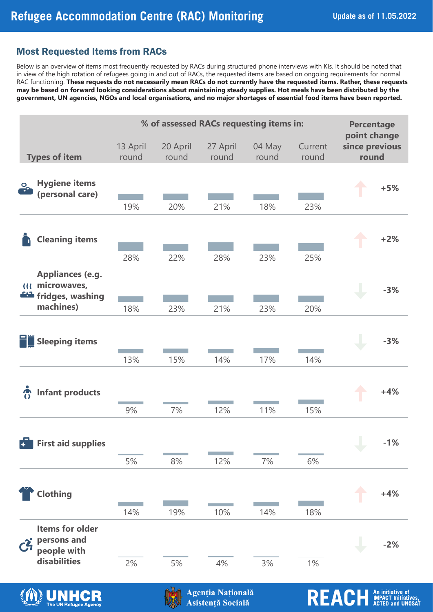# Most Requested Items from RACs

|                        |                                                                                                                                                                                                                                                                        |                   |                                                           |                   |                                                            | <b>Update as of 11.05.202</b>                               |                                                                                                                                                                                                                                                                                                                                                                                                                                                                                                                                                                                                                                                                                        |
|------------------------|------------------------------------------------------------------------------------------------------------------------------------------------------------------------------------------------------------------------------------------------------------------------|-------------------|-----------------------------------------------------------|-------------------|------------------------------------------------------------|-------------------------------------------------------------|----------------------------------------------------------------------------------------------------------------------------------------------------------------------------------------------------------------------------------------------------------------------------------------------------------------------------------------------------------------------------------------------------------------------------------------------------------------------------------------------------------------------------------------------------------------------------------------------------------------------------------------------------------------------------------------|
|                        |                                                                                                                                                                                                                                                                        |                   |                                                           |                   |                                                            |                                                             |                                                                                                                                                                                                                                                                                                                                                                                                                                                                                                                                                                                                                                                                                        |
|                        |                                                                                                                                                                                                                                                                        |                   |                                                           |                   |                                                            |                                                             | <b>Percentage</b>                                                                                                                                                                                                                                                                                                                                                                                                                                                                                                                                                                                                                                                                      |
|                        | 13 April<br>round                                                                                                                                                                                                                                                      | 20 April<br>round | 27 April<br>round                                         | 04 May<br>round   | Current<br>round                                           | since previous<br>round                                     |                                                                                                                                                                                                                                                                                                                                                                                                                                                                                                                                                                                                                                                                                        |
|                        |                                                                                                                                                                                                                                                                        |                   |                                                           |                   |                                                            |                                                             | $+5%$                                                                                                                                                                                                                                                                                                                                                                                                                                                                                                                                                                                                                                                                                  |
|                        | 28%                                                                                                                                                                                                                                                                    | 22%               | 28%                                                       | 23%               | 25%                                                        |                                                             | $+2%$                                                                                                                                                                                                                                                                                                                                                                                                                                                                                                                                                                                                                                                                                  |
|                        | 18%                                                                                                                                                                                                                                                                    | 23%               | 21%                                                       | 23%               | 20%                                                        |                                                             | $-3%$                                                                                                                                                                                                                                                                                                                                                                                                                                                                                                                                                                                                                                                                                  |
|                        | 13%                                                                                                                                                                                                                                                                    | 15%               | 14%                                                       | 17%               | 14%                                                        |                                                             | $-3%$                                                                                                                                                                                                                                                                                                                                                                                                                                                                                                                                                                                                                                                                                  |
|                        | 9%                                                                                                                                                                                                                                                                     | 7%                | 12%                                                       | 11%               | 15%                                                        |                                                             | $+4%$                                                                                                                                                                                                                                                                                                                                                                                                                                                                                                                                                                                                                                                                                  |
|                        | 5%                                                                                                                                                                                                                                                                     |                   |                                                           | 7%                |                                                            |                                                             | $-1%$                                                                                                                                                                                                                                                                                                                                                                                                                                                                                                                                                                                                                                                                                  |
|                        |                                                                                                                                                                                                                                                                        |                   |                                                           |                   |                                                            |                                                             | $+4%$                                                                                                                                                                                                                                                                                                                                                                                                                                                                                                                                                                                                                                                                                  |
| <b>Items for older</b> |                                                                                                                                                                                                                                                                        |                   |                                                           |                   |                                                            |                                                             |                                                                                                                                                                                                                                                                                                                                                                                                                                                                                                                                                                                                                                                                                        |
|                        | <b>Types of item</b><br><b>Hygiene items</b><br>(personal care)<br><b>Cleaning items</b><br><b>Appliances (e.g.</b><br>microwaves,<br>fridges, washing<br>machines)<br><b>Sleeping items</b><br><b>Infant products</b><br><b>First aid supplies</b><br><b>Clothing</b> | 19%<br>14%        | <b>Most Requested Items from RACs</b><br>20%<br>8%<br>19% | 21%<br>12%<br>10% | efugee Accommodation Centre (RAC) Monitoring<br>18%<br>14% | % of assessed RACs requesting items in:<br>23%<br>6%<br>18% | Below is an overview of items most frequently requested by RACs during structured phone interviews with KIs. It should be noted that<br>in view of the high rotation of refugees going in and out of RACs, the requested items are based on ongoing requirements for normal<br>RAC functioning. These requests do not necessarily mean RACs do not currently have the requested items. Rather, these requests<br>may be based on forward looking considerations about maintaining steady supplies. Hot meals have been distributed by the<br>government, UN agencies, NGOs and local organisations, and no major shortages of essential food items have been reported.<br>point change |